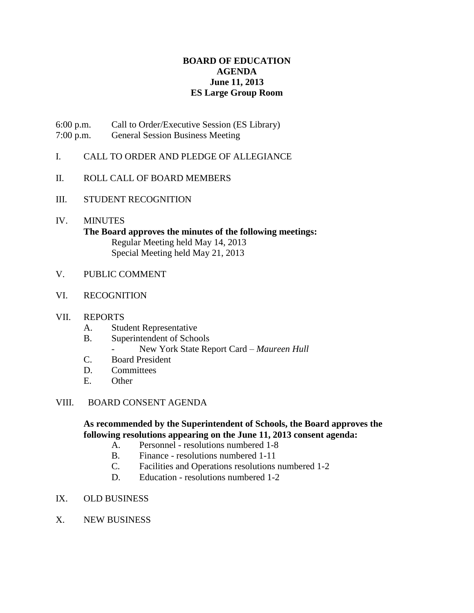# **BOARD OF EDUCATION AGENDA June 11, 2013 ES Large Group Room**

- 6:00 p.m. Call to Order/Executive Session (ES Library)
- 7:00 p.m. General Session Business Meeting
- I. CALL TO ORDER AND PLEDGE OF ALLEGIANCE
- II. ROLL CALL OF BOARD MEMBERS
- III. STUDENT RECOGNITION
- IV. MINUTES **The Board approves the minutes of the following meetings:** Regular Meeting held May 14, 2013 Special Meeting held May 21, 2013
- V. PUBLIC COMMENT
- VI. RECOGNITION
- VII. REPORTS
	- A. Student Representative
	- B. Superintendent of Schools
		- New York State Report Card *Maureen Hull*
	- C. Board President
	- D. Committees
	- E. Other

### VIII. BOARD CONSENT AGENDA

# **As recommended by the Superintendent of Schools, the Board approves the following resolutions appearing on the June 11, 2013 consent agenda:**

- A. Personnel resolutions numbered 1-8
- B. Finance resolutions numbered 1-11
- C. Facilities and Operations resolutions numbered 1-2
- D. Education resolutions numbered 1-2
- IX. OLD BUSINESS
- X. NEW BUSINESS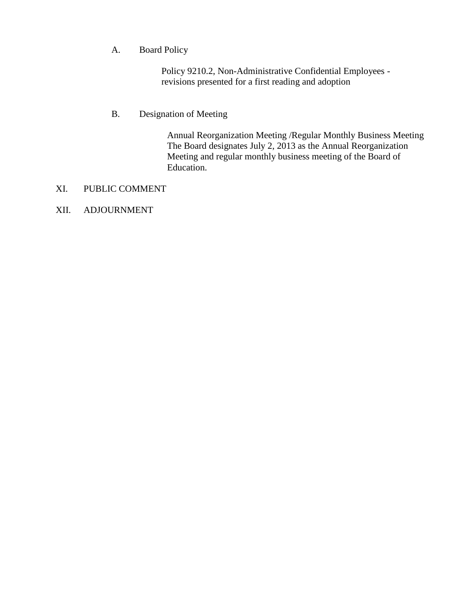# A. Board Policy

Policy 9210.2, Non-Administrative Confidential Employees revisions presented for a first reading and adoption

# B. Designation of Meeting

Annual Reorganization Meeting /Regular Monthly Business Meeting The Board designates July 2, 2013 as the Annual Reorganization Meeting and regular monthly business meeting of the Board of Education.

# XI. PUBLIC COMMENT

# XII. ADJOURNMENT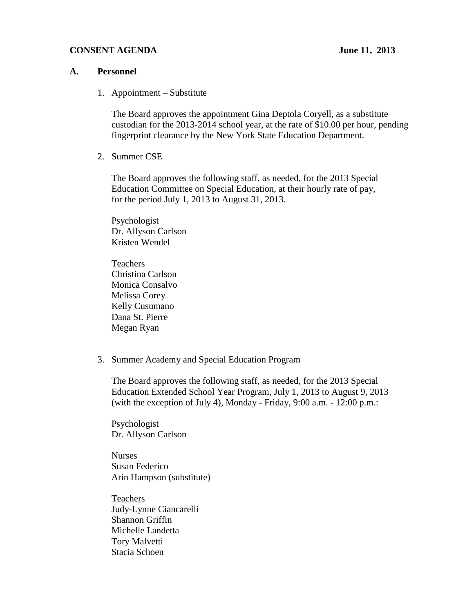#### **CONSENT AGENDA** June 11, 2013

#### **A. Personnel**

1. Appointment – Substitute

The Board approves the appointment Gina Deptola Coryell, as a substitute custodian for the 2013-2014 school year, at the rate of \$10.00 per hour, pending fingerprint clearance by the New York State Education Department.

2. Summer CSE

The Board approves the following staff, as needed, for the 2013 Special Education Committee on Special Education, at their hourly rate of pay, for the period July 1, 2013 to August 31, 2013.

**Psychologist** Dr. Allyson Carlson Kristen Wendel

Teachers Christina Carlson Monica Consalvo Melissa Corey Kelly Cusumano Dana St. Pierre Megan Ryan

3. Summer Academy and Special Education Program

The Board approves the following staff, as needed, for the 2013 Special Education Extended School Year Program, July 1, 2013 to August 9, 2013 (with the exception of July 4), Monday - Friday, 9:00 a.m. - 12:00 p.m.:

Psychologist Dr. Allyson Carlson

Nurses Susan Federico Arin Hampson (substitute)

Teachers Judy-Lynne Ciancarelli Shannon Griffin Michelle Landetta Tory Malvetti Stacia Schoen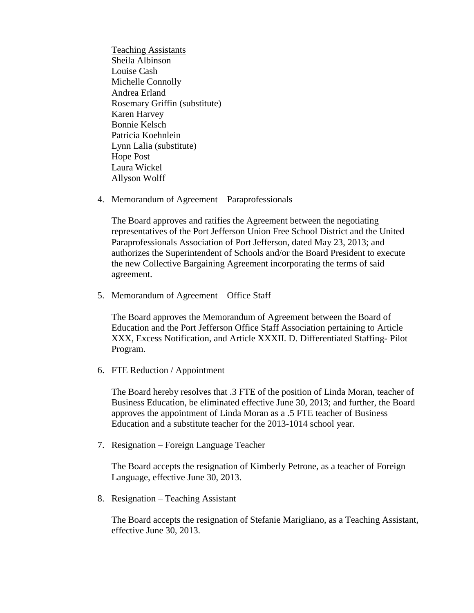Teaching Assistants Sheila Albinson Louise Cash Michelle Connolly Andrea Erland Rosemary Griffin (substitute) Karen Harvey Bonnie Kelsch Patricia Koehnlein Lynn Lalia (substitute) Hope Post Laura Wickel Allyson Wolff

4. Memorandum of Agreement – Paraprofessionals

The Board approves and ratifies the Agreement between the negotiating representatives of the Port Jefferson Union Free School District and the United Paraprofessionals Association of Port Jefferson, dated May 23, 2013; and authorizes the Superintendent of Schools and/or the Board President to execute the new Collective Bargaining Agreement incorporating the terms of said agreement.

5. Memorandum of Agreement – Office Staff

The Board approves the Memorandum of Agreement between the Board of Education and the Port Jefferson Office Staff Association pertaining to Article XXX, Excess Notification, and Article XXXII. D. Differentiated Staffing- Pilot Program.

6. FTE Reduction / Appointment

The Board hereby resolves that .3 FTE of the position of Linda Moran, teacher of Business Education, be eliminated effective June 30, 2013; and further, the Board approves the appointment of Linda Moran as a .5 FTE teacher of Business Education and a substitute teacher for the 2013-1014 school year.

7. Resignation – Foreign Language Teacher

The Board accepts the resignation of Kimberly Petrone, as a teacher of Foreign Language, effective June 30, 2013.

8. Resignation – Teaching Assistant

The Board accepts the resignation of Stefanie Marigliano, as a Teaching Assistant, effective June 30, 2013.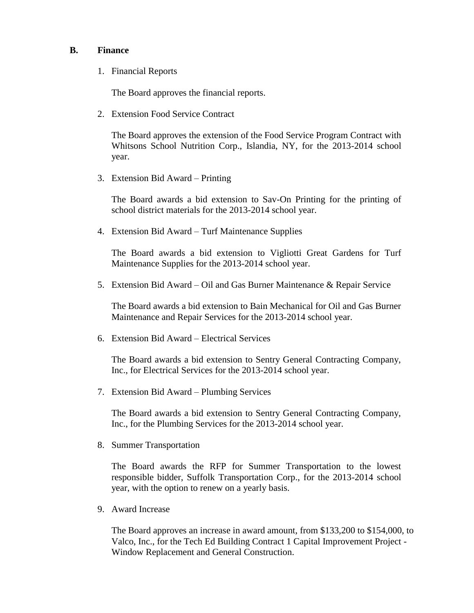### **B. Finance**

1. Financial Reports

The Board approves the financial reports.

2. Extension Food Service Contract

The Board approves the extension of the Food Service Program Contract with Whitsons School Nutrition Corp., Islandia, NY, for the 2013-2014 school year.

3. Extension Bid Award – Printing

The Board awards a bid extension to Sav-On Printing for the printing of school district materials for the 2013-2014 school year.

4. Extension Bid Award – Turf Maintenance Supplies

The Board awards a bid extension to Vigliotti Great Gardens for Turf Maintenance Supplies for the 2013-2014 school year.

5. Extension Bid Award – Oil and Gas Burner Maintenance & Repair Service

The Board awards a bid extension to Bain Mechanical for Oil and Gas Burner Maintenance and Repair Services for the 2013-2014 school year.

6. Extension Bid Award – Electrical Services

The Board awards a bid extension to Sentry General Contracting Company, Inc., for Electrical Services for the 2013-2014 school year.

7. Extension Bid Award – Plumbing Services

The Board awards a bid extension to Sentry General Contracting Company, Inc., for the Plumbing Services for the 2013-2014 school year.

8. Summer Transportation

The Board awards the RFP for Summer Transportation to the lowest responsible bidder, Suffolk Transportation Corp., for the 2013-2014 school year, with the option to renew on a yearly basis.

9. Award Increase

The Board approves an increase in award amount, from \$133,200 to \$154,000, to Valco, Inc., for the Tech Ed Building Contract 1 Capital Improvement Project - Window Replacement and General Construction.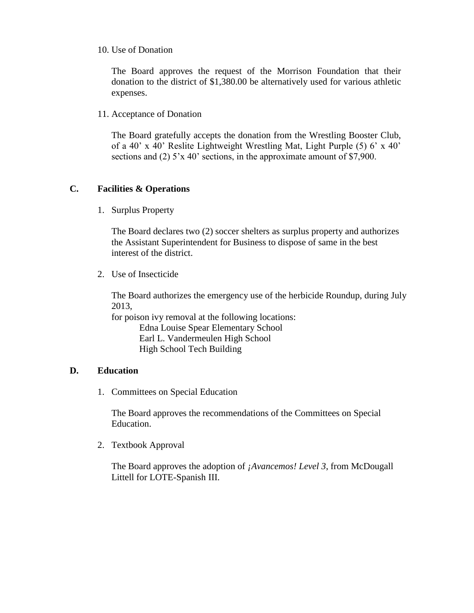### 10. Use of Donation

The Board approves the request of the Morrison Foundation that their donation to the district of \$1,380.00 be alternatively used for various athletic expenses.

11. Acceptance of Donation

The Board gratefully accepts the donation from the Wrestling Booster Club, of a 40' x 40' Reslite Lightweight Wrestling Mat, Light Purple (5) 6' x 40' sections and (2) 5'x 40' sections, in the approximate amount of \$7,900.

# **C. Facilities & Operations**

1. Surplus Property

The Board declares two (2) soccer shelters as surplus property and authorizes the Assistant Superintendent for Business to dispose of same in the best interest of the district.

2. Use of Insecticide

The Board authorizes the emergency use of the herbicide Roundup, during July 2013,

for poison ivy removal at the following locations: Edna Louise Spear Elementary School Earl L. Vandermeulen High School High School Tech Building

# **D. Education**

1. Committees on Special Education

The Board approves the recommendations of the Committees on Special Education.

2. Textbook Approval

The Board approves the adoption of *¡Avancemos! Level 3*, from McDougall Littell for LOTE-Spanish III.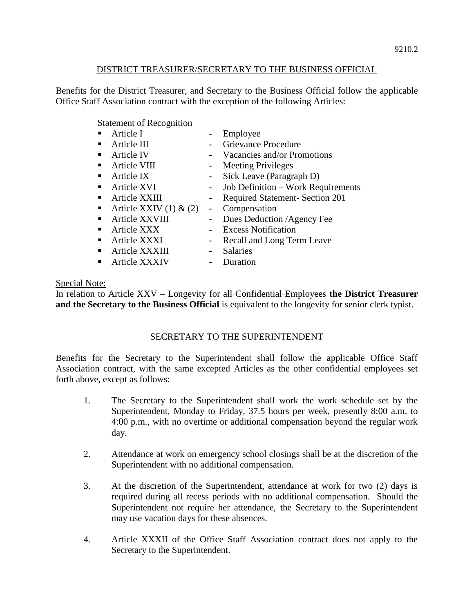# DISTRICT TREASURER/SECRETARY TO THE BUSINESS OFFICIAL

Benefits for the District Treasurer, and Secretary to the Business Official follow the applicable Office Staff Association contract with the exception of the following Articles:

Statement of Recognition

|    | Article I                  |        | Employee                               |
|----|----------------------------|--------|----------------------------------------|
|    | Article III                |        | <b>Grievance Procedure</b>             |
|    | <b>Article IV</b>          |        | Vacancies and/or Promotions            |
|    | Article VIII               |        | <b>Meeting Privileges</b>              |
|    | Article IX                 | $\sim$ | Sick Leave (Paragraph D)               |
| п. | Article XVI                | $-$    | Job Definition - Work Requirements     |
|    | Article XXIII              |        | <b>Required Statement- Section 201</b> |
|    | Article XXIV $(1)$ & $(2)$ |        | Compensation                           |
|    | Article XXVIII             |        | Dues Deduction /Agency Fee             |
|    | Article XXX                |        | <b>Excess Notification</b>             |
|    | Article XXXI               |        | Recall and Long Term Leave             |
|    | Article XXXIII             |        | <b>Salaries</b>                        |
|    | Article XXXIV              |        | Duration                               |

# Special Note:

In relation to Article XXV – Longevity for all Confidential Employees **the District Treasurer and the Secretary to the Business Official** is equivalent to the longevity for senior clerk typist.

# SECRETARY TO THE SUPERINTENDENT

Benefits for the Secretary to the Superintendent shall follow the applicable Office Staff Association contract, with the same excepted Articles as the other confidential employees set forth above, except as follows:

- 1. The Secretary to the Superintendent shall work the work schedule set by the Superintendent, Monday to Friday, 37.5 hours per week, presently 8:00 a.m. to 4:00 p.m., with no overtime or additional compensation beyond the regular work day.
- 2. Attendance at work on emergency school closings shall be at the discretion of the Superintendent with no additional compensation.
- 3. At the discretion of the Superintendent, attendance at work for two (2) days is required during all recess periods with no additional compensation. Should the Superintendent not require her attendance, the Secretary to the Superintendent may use vacation days for these absences.
- 4. Article XXXII of the Office Staff Association contract does not apply to the Secretary to the Superintendent.